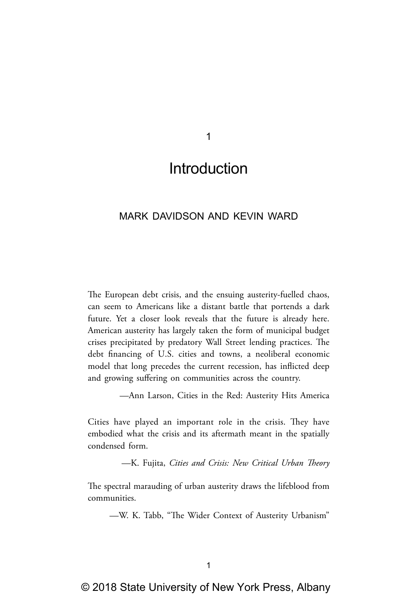1

# Introduction

## MARK DAVIDSON AND KEVIN WARD

The European debt crisis, and the ensuing austerity-fuelled chaos, can seem to Americans like a distant battle that portends a dark future. Yet a closer look reveals that the future is already here. American austerity has largely taken the form of municipal budget crises precipitated by predatory Wall Street lending practices. The debt financing of U.S. cities and towns, a neoliberal economic model that long precedes the current recession, has inflicted deep and growing suffering on communities across the country.

—Ann Larson, Cities in the Red: Austerity Hits America

Cities have played an important role in the crisis. They have embodied what the crisis and its aftermath meant in the spatially condensed form.

—K. Fujita, *Cities and Crisis: New Critical Urban Theory*

The spectral marauding of urban austerity draws the lifeblood from communities.

—W. K. Tabb, "The Wider Context of Austerity Urbanism"

© 2018 State University of New York Press, Albany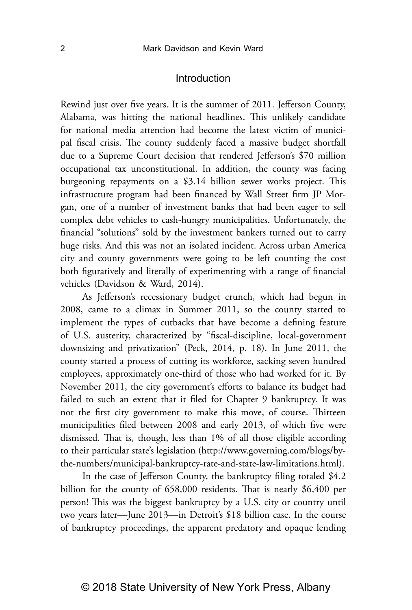Rewind just over five years. It is the summer of 2011. Jefferson County, Alabama, was hitting the national headlines. This unlikely candidate for national media attention had become the latest victim of municipal fiscal crisis. The county suddenly faced a massive budget shortfall due to a Supreme Court decision that rendered Jefferson's \$70 million occupational tax unconstitutional. In addition, the county was facing burgeoning repayments on a \$3.14 billion sewer works project. This infrastructure program had been financed by Wall Street firm JP Morgan, one of a number of investment banks that had been eager to sell complex debt vehicles to cash-hungry municipalities. Unfortunately, the financial "solutions" sold by the investment bankers turned out to carry huge risks. And this was not an isolated incident. Across urban America city and county governments were going to be left counting the cost both figuratively and literally of experimenting with a range of financial vehicles (Davidson & Ward, 2014).

As Jefferson's recessionary budget crunch, which had begun in 2008, came to a climax in Summer 2011, so the county started to implement the types of cutbacks that have become a defining feature of U.S. austerity, characterized by "fiscal-discipline, local-government downsizing and privatization" (Peck, 2014, p. 18). In June 2011, the county started a process of cutting its workforce, sacking seven hundred employees, approximately one-third of those who had worked for it. By November 2011, the city government's efforts to balance its budget had failed to such an extent that it filed for Chapter 9 bankruptcy. It was not the first city government to make this move, of course. Thirteen municipalities filed between 2008 and early 2013, of which five were dismissed. That is, though, less than 1% of all those eligible according to their particular state's legislation (http://www.governing.com/blogs/bythe-numbers/municipal-bankruptcy-rate-and-state-law-limitations.html).

In the case of Jefferson County, the bankruptcy filing totaled \$4.2 billion for the county of 658,000 residents. That is nearly \$6,400 per person! This was the biggest bankruptcy by a U.S. city or country until two years later—June 2013—in Detroit's \$18 billion case. In the course of bankruptcy proceedings, the apparent predatory and opaque lending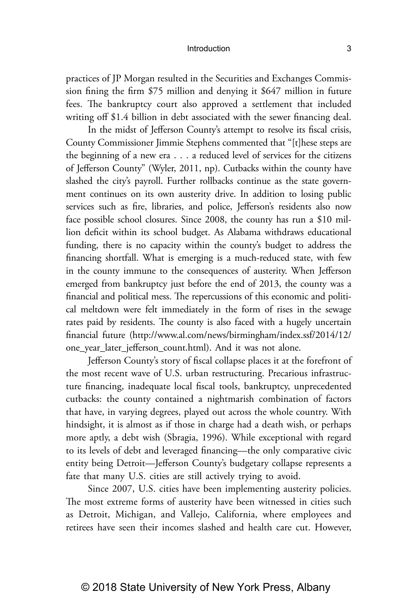practices of JP Morgan resulted in the Securities and Exchanges Commission fining the firm \$75 million and denying it \$647 million in future fees. The bankruptcy court also approved a settlement that included writing off \$1.4 billion in debt associated with the sewer financing deal.

In the midst of Jefferson County's attempt to resolve its fiscal crisis, County Commissioner Jimmie Stephens commented that "[t]hese steps are the beginning of a new era . . . a reduced level of services for the citizens of Jefferson County" (Wyler, 2011, np). Cutbacks within the county have slashed the city's payroll. Further rollbacks continue as the state government continues on its own austerity drive. In addition to losing public services such as fire, libraries, and police, Jefferson's residents also now face possible school closures. Since 2008, the county has run a \$10 million deficit within its school budget. As Alabama withdraws educational funding, there is no capacity within the county's budget to address the financing shortfall. What is emerging is a much-reduced state, with few in the county immune to the consequences of austerity. When Jefferson emerged from bankruptcy just before the end of 2013, the county was a financial and political mess. The repercussions of this economic and political meltdown were felt immediately in the form of rises in the sewage rates paid by residents. The county is also faced with a hugely uncertain financial future (http://www.al.com/news/birmingham/index.ssf/2014/12/ one\_year\_later\_jefferson\_count.html). And it was not alone.

Jefferson County's story of fiscal collapse places it at the forefront of the most recent wave of U.S. urban restructuring. Precarious infrastructure financing, inadequate local fiscal tools, bankruptcy, unprecedented cutbacks: the county contained a nightmarish combination of factors that have, in varying degrees, played out across the whole country. With hindsight, it is almost as if those in charge had a death wish, or perhaps more aptly, a debt wish (Sbragia, 1996). While exceptional with regard to its levels of debt and leveraged financing—the only comparative civic entity being Detroit—Jefferson County's budgetary collapse represents a fate that many U.S. cities are still actively trying to avoid.

Since 2007, U.S. cities have been implementing austerity policies. The most extreme forms of austerity have been witnessed in cities such as Detroit, Michigan, and Vallejo, California, where employees and retirees have seen their incomes slashed and health care cut. However,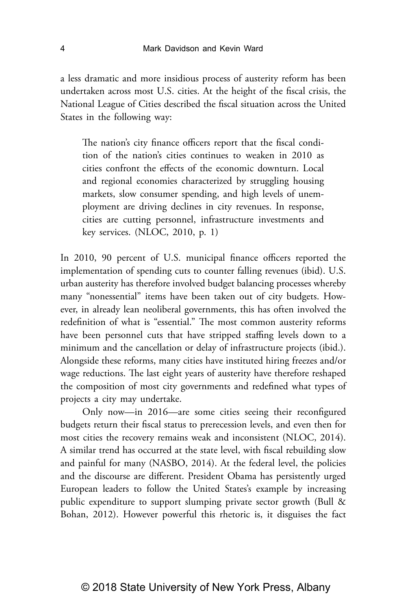a less dramatic and more insidious process of austerity reform has been undertaken across most U.S. cities. At the height of the fiscal crisis, the National League of Cities described the fiscal situation across the United States in the following way:

The nation's city finance officers report that the fiscal condition of the nation's cities continues to weaken in 2010 as cities confront the effects of the economic downturn. Local and regional economies characterized by struggling housing markets, slow consumer spending, and high levels of unemployment are driving declines in city revenues. In response, cities are cutting personnel, infrastructure investments and key services. (NLOC, 2010, p. 1)

In 2010, 90 percent of U.S. municipal finance officers reported the implementation of spending cuts to counter falling revenues (ibid). U.S. urban austerity has therefore involved budget balancing processes whereby many "nonessential" items have been taken out of city budgets. However, in already lean neoliberal governments, this has often involved the redefinition of what is "essential." The most common austerity reforms have been personnel cuts that have stripped staffing levels down to a minimum and the cancellation or delay of infrastructure projects (ibid.). Alongside these reforms, many cities have instituted hiring freezes and/or wage reductions. The last eight years of austerity have therefore reshaped the composition of most city governments and redefined what types of projects a city may undertake.

Only now—in 2016—are some cities seeing their reconfigured budgets return their fiscal status to prerecession levels, and even then for most cities the recovery remains weak and inconsistent (NLOC, 2014). A similar trend has occurred at the state level, with fiscal rebuilding slow and painful for many (NASBO, 2014). At the federal level, the policies and the discourse are different. President Obama has persistently urged European leaders to follow the United States's example by increasing public expenditure to support slumping private sector growth (Bull & Bohan, 2012). However powerful this rhetoric is, it disguises the fact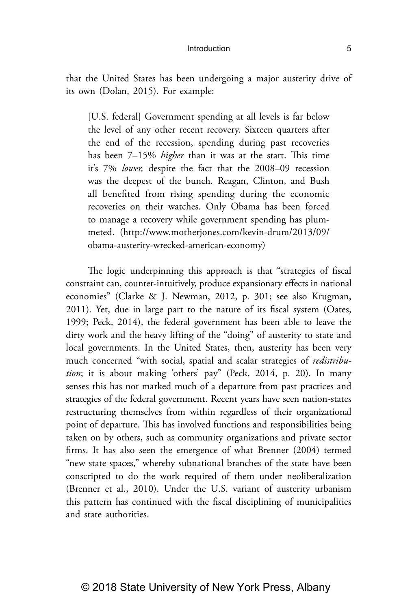that the United States has been undergoing a major austerity drive of its own (Dolan, 2015). For example:

[U.S. federal] Government spending at all levels is far below the level of any other recent recovery. Sixteen quarters after the end of the recession, spending during past recoveries has been 7–15% *higher* than it was at the start. This time it's 7% *lower,* despite the fact that the 2008–09 recession was the deepest of the bunch. Reagan, Clinton, and Bush all benefited from rising spending during the economic recoveries on their watches. Only Obama has been forced to manage a recovery while government spending has plummeted. (http://www.motherjones.com/kevin-drum/2013/09/ obama-austerity-wrecked-american-economy)

The logic underpinning this approach is that "strategies of fiscal constraint can, counter-intuitively, produce expansionary effects in national economies" (Clarke & J. Newman, 2012, p. 301; see also Krugman, 2011). Yet, due in large part to the nature of its fiscal system (Oates, 1999; Peck, 2014), the federal government has been able to leave the dirty work and the heavy lifting of the "doing" of austerity to state and local governments. In the United States, then, austerity has been very much concerned "with social, spatial and scalar strategies of *redistribution*; it is about making 'others' pay" (Peck, 2014, p. 20). In many senses this has not marked much of a departure from past practices and strategies of the federal government. Recent years have seen nation-states restructuring themselves from within regardless of their organizational point of departure. This has involved functions and responsibilities being taken on by others, such as community organizations and private sector firms. It has also seen the emergence of what Brenner (2004) termed "new state spaces," whereby subnational branches of the state have been conscripted to do the work required of them under neoliberalization (Brenner et al., 2010). Under the U.S. variant of austerity urbanism this pattern has continued with the fiscal disciplining of municipalities and state authorities.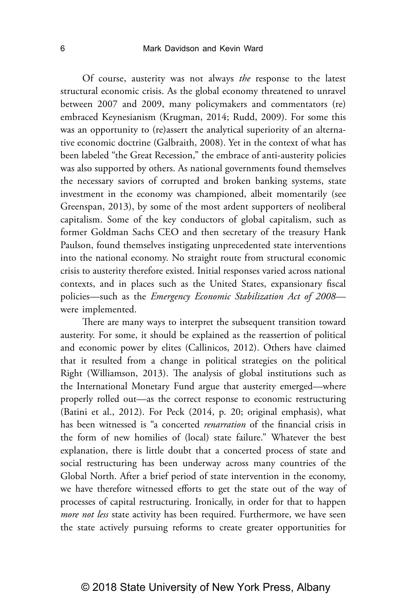Of course, austerity was not always *the* response to the latest structural economic crisis. As the global economy threatened to unravel between 2007 and 2009, many policymakers and commentators (re) embraced Keynesianism (Krugman, 2014; Rudd, 2009). For some this was an opportunity to (re)assert the analytical superiority of an alternative economic doctrine (Galbraith, 2008). Yet in the context of what has been labeled "the Great Recession," the embrace of anti-austerity policies was also supported by others. As national governments found themselves the necessary saviors of corrupted and broken banking systems, state investment in the economy was championed, albeit momentarily (see Greenspan, 2013), by some of the most ardent supporters of neoliberal capitalism. Some of the key conductors of global capitalism, such as former Goldman Sachs CEO and then secretary of the treasury Hank Paulson, found themselves instigating unprecedented state interventions into the national economy. No straight route from structural economic crisis to austerity therefore existed. Initial responses varied across national contexts, and in places such as the United States, expansionary fiscal policies—such as the *Emergency Economic Stabilization Act of 2008* were implemented.

There are many ways to interpret the subsequent transition toward austerity. For some, it should be explained as the reassertion of political and economic power by elites (Callinicos, 2012). Others have claimed that it resulted from a change in political strategies on the political Right (Williamson, 2013). The analysis of global institutions such as the International Monetary Fund argue that austerity emerged—where properly rolled out—as the correct response to economic restructuring (Batini et al., 2012). For Peck (2014, p. 20; original emphasis), what has been witnessed is "a concerted *renarration* of the financial crisis in the form of new homilies of (local) state failure." Whatever the best explanation, there is little doubt that a concerted process of state and social restructuring has been underway across many countries of the Global North. After a brief period of state intervention in the economy, we have therefore witnessed efforts to get the state out of the way of processes of capital restructuring. Ironically, in order for that to happen *more not less* state activity has been required. Furthermore, we have seen the state actively pursuing reforms to create greater opportunities for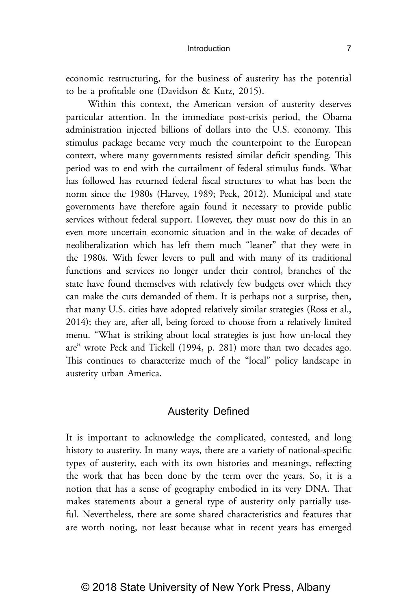Within this context, the American version of austerity deserves particular attention. In the immediate post-crisis period, the Obama administration injected billions of dollars into the U.S. economy. This stimulus package became very much the counterpoint to the European context, where many governments resisted similar deficit spending. This period was to end with the curtailment of federal stimulus funds. What has followed has returned federal fiscal structures to what has been the norm since the 1980s (Harvey, 1989; Peck, 2012). Municipal and state governments have therefore again found it necessary to provide public services without federal support. However, they must now do this in an even more uncertain economic situation and in the wake of decades of neoliberalization which has left them much "leaner" that they were in the 1980s. With fewer levers to pull and with many of its traditional functions and services no longer under their control, branches of the state have found themselves with relatively few budgets over which they can make the cuts demanded of them. It is perhaps not a surprise, then, that many U.S. cities have adopted relatively similar strategies (Ross et al., 2014); they are, after all, being forced to choose from a relatively limited menu. "What is striking about local strategies is just how un-local they are" wrote Peck and Tickell (1994, p. 281) more than two decades ago. This continues to characterize much of the "local" policy landscape in austerity urban America.

## Austerity Defined

It is important to acknowledge the complicated, contested, and long history to austerity. In many ways, there are a variety of national-specific types of austerity, each with its own histories and meanings, reflecting the work that has been done by the term over the years. So, it is a notion that has a sense of geography embodied in its very DNA. That makes statements about a general type of austerity only partially useful. Nevertheless, there are some shared characteristics and features that are worth noting, not least because what in recent years has emerged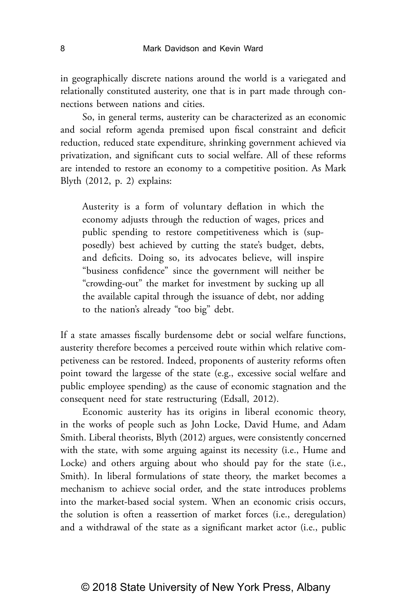in geographically discrete nations around the world is a variegated and relationally constituted austerity, one that is in part made through connections between nations and cities.

So, in general terms, austerity can be characterized as an economic and social reform agenda premised upon fiscal constraint and deficit reduction, reduced state expenditure, shrinking government achieved via privatization, and significant cuts to social welfare. All of these reforms are intended to restore an economy to a competitive position. As Mark Blyth (2012, p. 2) explains:

Austerity is a form of voluntary deflation in which the economy adjusts through the reduction of wages, prices and public spending to restore competitiveness which is (supposedly) best achieved by cutting the state's budget, debts, and deficits. Doing so, its advocates believe, will inspire "business confidence" since the government will neither be "crowding-out" the market for investment by sucking up all the available capital through the issuance of debt, nor adding to the nation's already "too big" debt.

If a state amasses fiscally burdensome debt or social welfare functions, austerity therefore becomes a perceived route within which relative competiveness can be restored. Indeed, proponents of austerity reforms often point toward the largesse of the state (e.g., excessive social welfare and public employee spending) as the cause of economic stagnation and the consequent need for state restructuring (Edsall, 2012).

Economic austerity has its origins in liberal economic theory, in the works of people such as John Locke, David Hume, and Adam Smith. Liberal theorists, Blyth (2012) argues, were consistently concerned with the state, with some arguing against its necessity (i.e., Hume and Locke) and others arguing about who should pay for the state (i.e., Smith). In liberal formulations of state theory, the market becomes a mechanism to achieve social order, and the state introduces problems into the market-based social system. When an economic crisis occurs, the solution is often a reassertion of market forces (i.e., deregulation) and a withdrawal of the state as a significant market actor (i.e., public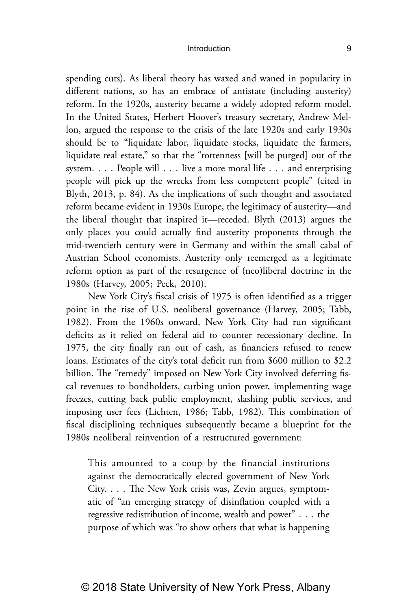spending cuts). As liberal theory has waxed and waned in popularity in different nations, so has an embrace of antistate (including austerity) reform. In the 1920s, austerity became a widely adopted reform model. In the United States, Herbert Hoover's treasury secretary, Andrew Mellon, argued the response to the crisis of the late 1920s and early 1930s should be to "liquidate labor, liquidate stocks, liquidate the farmers, liquidate real estate," so that the "rottenness [will be purged] out of the system. . . . People will . . . live a more moral life . . . and enterprising people will pick up the wrecks from less competent people" (cited in Blyth, 2013, p. 84). As the implications of such thought and associated reform became evident in 1930s Europe, the legitimacy of austerity—and the liberal thought that inspired it—receded. Blyth (2013) argues the only places you could actually find austerity proponents through the mid-twentieth century were in Germany and within the small cabal of Austrian School economists. Austerity only reemerged as a legitimate reform option as part of the resurgence of (neo)liberal doctrine in the 1980s (Harvey, 2005; Peck, 2010).

New York City's fiscal crisis of 1975 is often identified as a trigger point in the rise of U.S. neoliberal governance (Harvey, 2005; Tabb, 1982). From the 1960s onward, New York City had run significant deficits as it relied on federal aid to counter recessionary decline. In 1975, the city finally ran out of cash, as financiers refused to renew loans. Estimates of the city's total deficit run from \$600 million to \$2.2 billion. The "remedy" imposed on New York City involved deferring fiscal revenues to bondholders, curbing union power, implementing wage freezes, cutting back public employment, slashing public services, and imposing user fees (Lichten, 1986; Tabb, 1982). This combination of fiscal disciplining techniques subsequently became a blueprint for the 1980s neoliberal reinvention of a restructured government:

This amounted to a coup by the financial institutions against the democratically elected government of New York City. . . . The New York crisis was, Zevin argues, symptomatic of "an emerging strategy of disinflation coupled with a regressive redistribution of income, wealth and power" . . . the purpose of which was "to show others that what is happening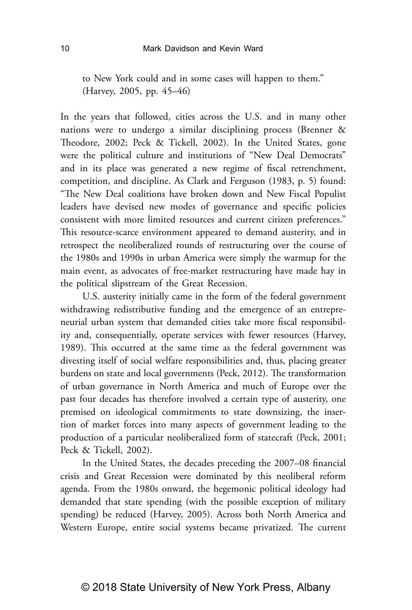to New York could and in some cases will happen to them." (Harvey, 2005, pp. 45–46)

In the years that followed, cities across the U.S. and in many other nations were to undergo a similar disciplining process (Brenner & Theodore, 2002; Peck & Tickell, 2002). In the United States, gone were the political culture and institutions of "New Deal Democrats" and in its place was generated a new regime of fiscal retrenchment, competition, and discipline. As Clark and Ferguson (1983, p. 5) found: "The New Deal coalitions have broken down and New Fiscal Populist leaders have devised new modes of governance and specific policies consistent with more limited resources and current citizen preferences." This resource-scarce environment appeared to demand austerity, and in retrospect the neoliberalized rounds of restructuring over the course of the 1980s and 1990s in urban America were simply the warmup for the main event, as advocates of free-market restructuring have made hay in the political slipstream of the Great Recession.

U.S. austerity initially came in the form of the federal government withdrawing redistributive funding and the emergence of an entrepreneurial urban system that demanded cities take more fiscal responsibility and, consequentially, operate services with fewer resources (Harvey, 1989). This occurred at the same time as the federal government was divesting itself of social welfare responsibilities and, thus, placing greater burdens on state and local governments (Peck, 2012). The transformation of urban governance in North America and much of Europe over the past four decades has therefore involved a certain type of austerity, one premised on ideological commitments to state downsizing, the insertion of market forces into many aspects of government leading to the production of a particular neoliberalized form of statecraft (Peck, 2001; Peck & Tickell, 2002).

In the United States, the decades preceding the 2007–08 financial crisis and Great Recession were dominated by this neoliberal reform agenda. From the 1980s onward, the hegemonic political ideology had demanded that state spending (with the possible exception of military spending) be reduced (Harvey, 2005). Across both North America and Western Europe, entire social systems became privatized. The current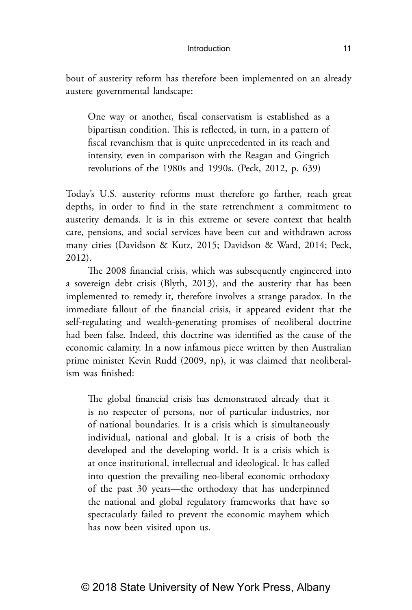bout of austerity reform has therefore been implemented on an already austere governmental landscape:

One way or another, fiscal conservatism is established as a bipartisan condition. This is reflected, in turn, in a pattern of fiscal revanchism that is quite unprecedented in its reach and intensity, even in comparison with the Reagan and Gingrich revolutions of the 1980s and 1990s. (Peck, 2012, p. 639)

Today's U.S. austerity reforms must therefore go farther, reach great depths, in order to find in the state retrenchment a commitment to austerity demands. It is in this extreme or severe context that health care, pensions, and social services have been cut and withdrawn across many cities (Davidson & Kutz, 2015; Davidson & Ward, 2014; Peck, 2012).

The 2008 financial crisis, which was subsequently engineered into a sovereign debt crisis (Blyth, 2013), and the austerity that has been implemented to remedy it, therefore involves a strange paradox. In the immediate fallout of the financial crisis, it appeared evident that the self-regulating and wealth-generating promises of neoliberal doctrine had been false. Indeed, this doctrine was identified as the cause of the economic calamity. In a now infamous piece written by then Australian prime minister Kevin Rudd (2009, np), it was claimed that neoliberalism was finished:

The global financial crisis has demonstrated already that it is no respecter of persons, nor of particular industries, nor of national boundaries. It is a crisis which is simultaneously individual, national and global. It is a crisis of both the developed and the developing world. It is a crisis which is at once institutional, intellectual and ideological. It has called into question the prevailing neo-liberal economic orthodoxy of the past 30 years—the orthodoxy that has underpinned the national and global regulatory frameworks that have so spectacularly failed to prevent the economic mayhem which has now been visited upon us.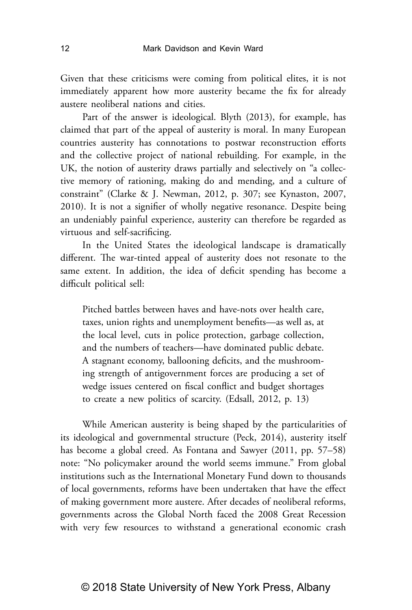Given that these criticisms were coming from political elites, it is not immediately apparent how more austerity became the fix for already austere neoliberal nations and cities.

Part of the answer is ideological. Blyth (2013), for example, has claimed that part of the appeal of austerity is moral. In many European countries austerity has connotations to postwar reconstruction efforts and the collective project of national rebuilding. For example, in the UK, the notion of austerity draws partially and selectively on "a collective memory of rationing, making do and mending, and a culture of constraint" (Clarke & J. Newman, 2012, p. 307; see Kynaston, 2007, 2010). It is not a signifier of wholly negative resonance. Despite being an undeniably painful experience, austerity can therefore be regarded as virtuous and self-sacrificing.

In the United States the ideological landscape is dramatically different. The war-tinted appeal of austerity does not resonate to the same extent. In addition, the idea of deficit spending has become a difficult political sell:

Pitched battles between haves and have-nots over health care, taxes, union rights and unemployment benefits—as well as, at the local level, cuts in police protection, garbage collection, and the numbers of teachers—have dominated public debate. A stagnant economy, ballooning deficits, and the mushrooming strength of antigovernment forces are producing a set of wedge issues centered on fiscal conflict and budget shortages to create a new politics of scarcity. (Edsall, 2012, p. 13)

While American austerity is being shaped by the particularities of its ideological and governmental structure (Peck, 2014), austerity itself has become a global creed. As Fontana and Sawyer (2011, pp. 57–58) note: "No policymaker around the world seems immune." From global institutions such as the International Monetary Fund down to thousands of local governments, reforms have been undertaken that have the effect of making government more austere. After decades of neoliberal reforms, governments across the Global North faced the 2008 Great Recession with very few resources to withstand a generational economic crash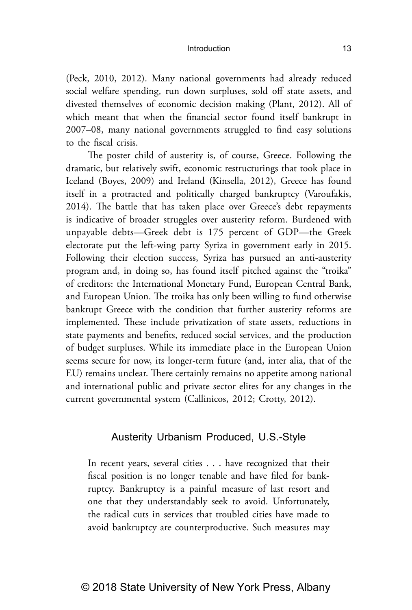(Peck, 2010, 2012). Many national governments had already reduced social welfare spending, run down surpluses, sold off state assets, and divested themselves of economic decision making (Plant, 2012). All of which meant that when the financial sector found itself bankrupt in 2007–08, many national governments struggled to find easy solutions to the fiscal crisis.

The poster child of austerity is, of course, Greece. Following the dramatic, but relatively swift, economic restructurings that took place in Iceland (Boyes, 2009) and Ireland (Kinsella, 2012), Greece has found itself in a protracted and politically charged bankruptcy (Varoufakis, 2014). The battle that has taken place over Greece's debt repayments is indicative of broader struggles over austerity reform. Burdened with unpayable debts—Greek debt is 175 percent of GDP—the Greek electorate put the left-wing party Syriza in government early in 2015. Following their election success, Syriza has pursued an anti-austerity program and, in doing so, has found itself pitched against the "troika" of creditors: the International Monetary Fund, European Central Bank, and European Union. The troika has only been willing to fund otherwise bankrupt Greece with the condition that further austerity reforms are implemented. These include privatization of state assets, reductions in state payments and benefits, reduced social services, and the production of budget surpluses. While its immediate place in the European Union seems secure for now, its longer-term future (and, inter alia, that of the EU) remains unclear. There certainly remains no appetite among national and international public and private sector elites for any changes in the current governmental system (Callinicos, 2012; Crotty, 2012).

## Austerity Urbanism Produced, U.S.-Style

In recent years, several cities . . . have recognized that their fiscal position is no longer tenable and have filed for bankruptcy. Bankruptcy is a painful measure of last resort and one that they understandably seek to avoid. Unfortunately, the radical cuts in services that troubled cities have made to avoid bankruptcy are counterproductive. Such measures may

## © 2018 State University of New York Press, Albany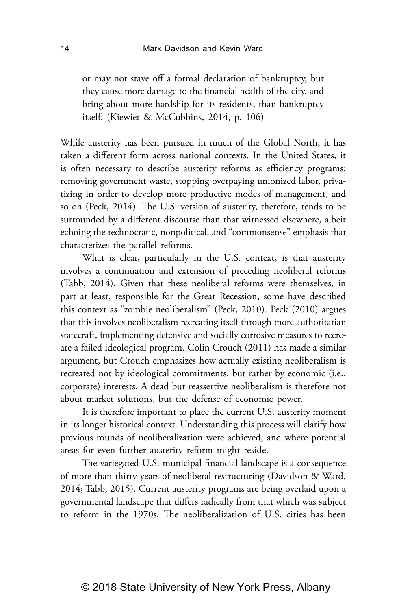or may not stave off a formal declaration of bankruptcy, but they cause more damage to the financial health of the city, and bring about more hardship for its residents, than bankruptcy itself. (Kiewiet & McCubbins, 2014, p. 106)

While austerity has been pursued in much of the Global North, it has taken a different form across national contexts. In the United States, it is often necessary to describe austerity reforms as efficiency programs: removing government waste, stopping overpaying unionized labor, privatizing in order to develop more productive modes of management, and so on (Peck, 2014). The U.S. version of austerity, therefore, tends to be surrounded by a different discourse than that witnessed elsewhere, albeit echoing the technocratic, nonpolitical, and "commonsense" emphasis that characterizes the parallel reforms.

What is clear, particularly in the U.S. context, is that austerity involves a continuation and extension of preceding neoliberal reforms (Tabb, 2014). Given that these neoliberal reforms were themselves, in part at least, responsible for the Great Recession, some have described this context as "zombie neoliberalism" (Peck, 2010). Peck (2010) argues that this involves neoliberalism recreating itself through more authoritarian statecraft, implementing defensive and socially corrosive measures to recreate a failed ideological program. Colin Crouch (2011) has made a similar argument, but Crouch emphasizes how actually existing neoliberalism is recreated not by ideological commitments, but rather by economic (i.e., corporate) interests. A dead but reassertive neoliberalism is therefore not about market solutions, but the defense of economic power.

It is therefore important to place the current U.S. austerity moment in its longer historical context. Understanding this process will clarify how previous rounds of neoliberalization were achieved, and where potential areas for even further austerity reform might reside.

The variegated U.S. municipal financial landscape is a consequence of more than thirty years of neoliberal restructuring (Davidson & Ward, 2014; Tabb, 2015). Current austerity programs are being overlaid upon a governmental landscape that differs radically from that which was subject to reform in the 1970s. The neoliberalization of U.S. cities has been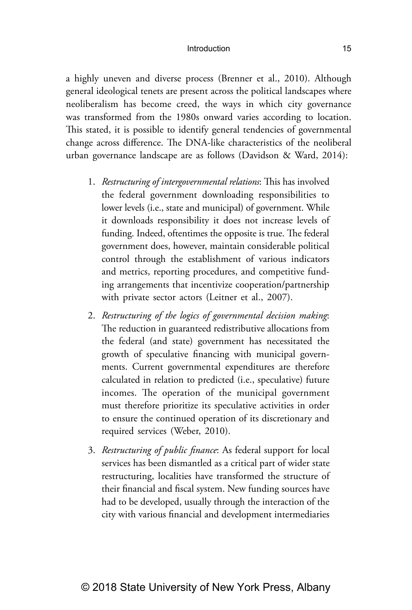a highly uneven and diverse process (Brenner et al., 2010). Although general ideological tenets are present across the political landscapes where neoliberalism has become creed, the ways in which city governance was transformed from the 1980s onward varies according to location. This stated, it is possible to identify general tendencies of governmental change across difference. The DNA-like characteristics of the neoliberal urban governance landscape are as follows (Davidson & Ward, 2014):

- 1. *Restructuring of intergovernmental relations*: This has involved the federal government downloading responsibilities to lower levels (i.e., state and municipal) of government. While it downloads responsibility it does not increase levels of funding. Indeed, oftentimes the opposite is true. The federal government does, however, maintain considerable political control through the establishment of various indicators and metrics, reporting procedures, and competitive funding arrangements that incentivize cooperation/partnership with private sector actors (Leitner et al., 2007).
- 2. *Restructuring of the logics of governmental decision making*: The reduction in guaranteed redistributive allocations from the federal (and state) government has necessitated the growth of speculative financing with municipal governments. Current governmental expenditures are therefore calculated in relation to predicted (i.e., speculative) future incomes. The operation of the municipal government must therefore prioritize its speculative activities in order to ensure the continued operation of its discretionary and required services (Weber, 2010).
- 3. *Restructuring of public finance*: As federal support for local services has been dismantled as a critical part of wider state restructuring, localities have transformed the structure of their financial and fiscal system. New funding sources have had to be developed, usually through the interaction of the city with various financial and development intermediaries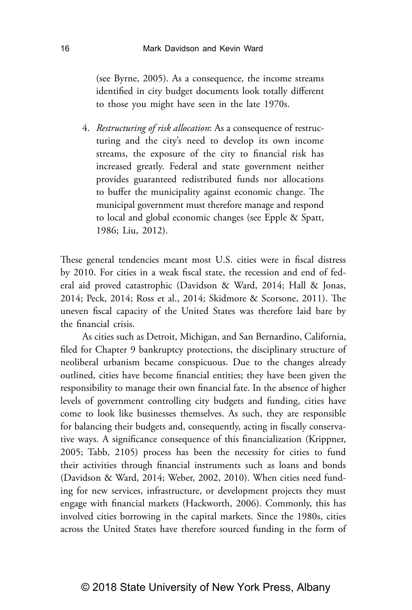(see Byrne, 2005). As a consequence, the income streams identified in city budget documents look totally different to those you might have seen in the late 1970s.

4. *Restructuring of risk allocation*: As a consequence of restructuring and the city's need to develop its own income streams, the exposure of the city to financial risk has increased greatly. Federal and state government neither provides guaranteed redistributed funds nor allocations to buffer the municipality against economic change. The municipal government must therefore manage and respond to local and global economic changes (see Epple & Spatt, 1986; Liu, 2012).

These general tendencies meant most U.S. cities were in fiscal distress by 2010. For cities in a weak fiscal state, the recession and end of federal aid proved catastrophic (Davidson & Ward, 2014; Hall & Jonas, 2014; Peck, 2014; Ross et al., 2014; Skidmore & Scorsone, 2011). The uneven fiscal capacity of the United States was therefore laid bare by the financial crisis.

As cities such as Detroit, Michigan, and San Bernardino, California, filed for Chapter 9 bankruptcy protections, the disciplinary structure of neoliberal urbanism became conspicuous. Due to the changes already outlined, cities have become financial entities; they have been given the responsibility to manage their own financial fate. In the absence of higher levels of government controlling city budgets and funding, cities have come to look like businesses themselves. As such, they are responsible for balancing their budgets and, consequently, acting in fiscally conservative ways. A significance consequence of this financialization (Krippner, 2005; Tabb, 2105) process has been the necessity for cities to fund their activities through financial instruments such as loans and bonds (Davidson & Ward, 2014; Weber, 2002, 2010). When cities need funding for new services, infrastructure, or development projects they must engage with financial markets (Hackworth, 2006). Commonly, this has involved cities borrowing in the capital markets. Since the 1980s, cities across the United States have therefore sourced funding in the form of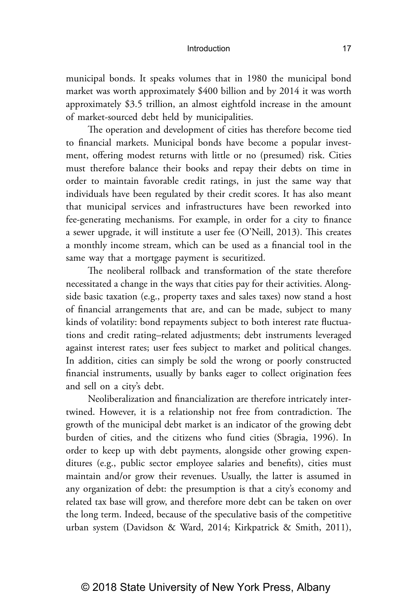municipal bonds. It speaks volumes that in 1980 the municipal bond market was worth approximately \$400 billion and by 2014 it was worth approximately \$3.5 trillion, an almost eightfold increase in the amount of market-sourced debt held by municipalities.

The operation and development of cities has therefore become tied to financial markets. Municipal bonds have become a popular investment, offering modest returns with little or no (presumed) risk. Cities must therefore balance their books and repay their debts on time in order to maintain favorable credit ratings, in just the same way that individuals have been regulated by their credit scores. It has also meant that municipal services and infrastructures have been reworked into fee-generating mechanisms. For example, in order for a city to finance a sewer upgrade, it will institute a user fee (O'Neill, 2013). This creates a monthly income stream, which can be used as a financial tool in the same way that a mortgage payment is securitized.

The neoliberal rollback and transformation of the state therefore necessitated a change in the ways that cities pay for their activities. Alongside basic taxation (e.g., property taxes and sales taxes) now stand a host of financial arrangements that are, and can be made, subject to many kinds of volatility: bond repayments subject to both interest rate fluctuations and credit rating–related adjustments; debt instruments leveraged against interest rates; user fees subject to market and political changes. In addition, cities can simply be sold the wrong or poorly constructed financial instruments, usually by banks eager to collect origination fees and sell on a city's debt.

Neoliberalization and financialization are therefore intricately intertwined. However, it is a relationship not free from contradiction. The growth of the municipal debt market is an indicator of the growing debt burden of cities, and the citizens who fund cities (Sbragia, 1996). In order to keep up with debt payments, alongside other growing expenditures (e.g., public sector employee salaries and benefits), cities must maintain and/or grow their revenues. Usually, the latter is assumed in any organization of debt: the presumption is that a city's economy and related tax base will grow, and therefore more debt can be taken on over the long term. Indeed, because of the speculative basis of the competitive urban system (Davidson & Ward, 2014; Kirkpatrick & Smith, 2011),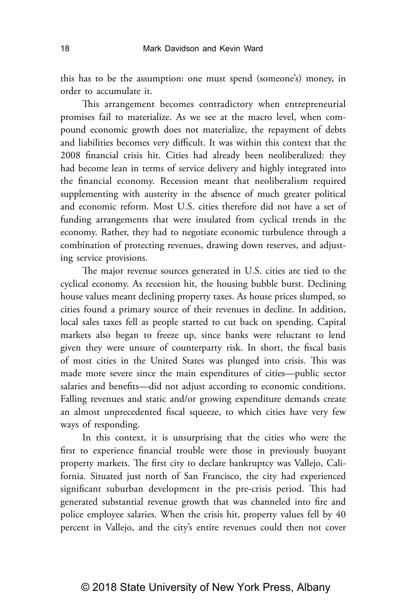this has to be the assumption: one must spend (someone's) money, in order to accumulate it.

This arrangement becomes contradictory when entrepreneurial promises fail to materialize. As we see at the macro level, when compound economic growth does not materialize, the repayment of debts and liabilities becomes very difficult. It was within this context that the 2008 financial crisis hit. Cities had already been neoliberalized: they had become lean in terms of service delivery and highly integrated into the financial economy. Recession meant that neoliberalism required supplementing with austerity in the absence of much greater political and economic reform. Most U.S. cities therefore did not have a set of funding arrangements that were insulated from cyclical trends in the economy. Rather, they had to negotiate economic turbulence through a combination of protecting revenues, drawing down reserves, and adjusting service provisions.

The major revenue sources generated in U.S. cities are tied to the cyclical economy. As recession hit, the housing bubble burst. Declining house values meant declining property taxes. As house prices slumped, so cities found a primary source of their revenues in decline. In addition, local sales taxes fell as people started to cut back on spending. Capital markets also began to freeze up, since banks were reluctant to lend given they were unsure of counterparty risk. In short, the fiscal basis of most cities in the United States was plunged into crisis. This was made more severe since the main expenditures of cities—public sector salaries and benefits—did not adjust according to economic conditions. Falling revenues and static and/or growing expenditure demands create an almost unprecedented fiscal squeeze, to which cities have very few ways of responding.

In this context, it is unsurprising that the cities who were the first to experience financial trouble were those in previously buoyant property markets. The first city to declare bankruptcy was Vallejo, California. Situated just north of San Francisco, the city had experienced significant suburban development in the pre-crisis period. This had generated substantial revenue growth that was channeled into fire and police employee salaries. When the crisis hit, property values fell by 40 percent in Vallejo, and the city's entire revenues could then not cover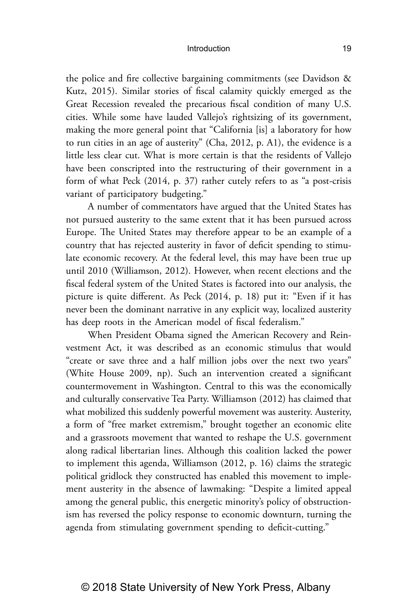the police and fire collective bargaining commitments (see Davidson & Kutz, 2015). Similar stories of fiscal calamity quickly emerged as the Great Recession revealed the precarious fiscal condition of many U.S. cities. While some have lauded Vallejo's rightsizing of its government, making the more general point that "California [is] a laboratory for how to run cities in an age of austerity" (Cha, 2012, p. A1), the evidence is a little less clear cut. What is more certain is that the residents of Vallejo have been conscripted into the restructuring of their government in a form of what Peck (2014, p. 37) rather cutely refers to as "a post-crisis variant of participatory budgeting."

A number of commentators have argued that the United States has not pursued austerity to the same extent that it has been pursued across Europe. The United States may therefore appear to be an example of a country that has rejected austerity in favor of deficit spending to stimulate economic recovery. At the federal level, this may have been true up until 2010 (Williamson, 2012). However, when recent elections and the fiscal federal system of the United States is factored into our analysis, the picture is quite different. As Peck (2014, p. 18) put it: "Even if it has never been the dominant narrative in any explicit way, localized austerity has deep roots in the American model of fiscal federalism."

When President Obama signed the American Recovery and Reinvestment Act, it was described as an economic stimulus that would "create or save three and a half million jobs over the next two years" (White House 2009, np). Such an intervention created a significant countermovement in Washington. Central to this was the economically and culturally conservative Tea Party. Williamson (2012) has claimed that what mobilized this suddenly powerful movement was austerity. Austerity, a form of "free market extremism," brought together an economic elite and a grassroots movement that wanted to reshape the U.S. government along radical libertarian lines. Although this coalition lacked the power to implement this agenda, Williamson (2012, p. 16) claims the strategic political gridlock they constructed has enabled this movement to implement austerity in the absence of lawmaking: "Despite a limited appeal among the general public, this energetic minority's policy of obstructionism has reversed the policy response to economic downturn, turning the agenda from stimulating government spending to deficit-cutting."